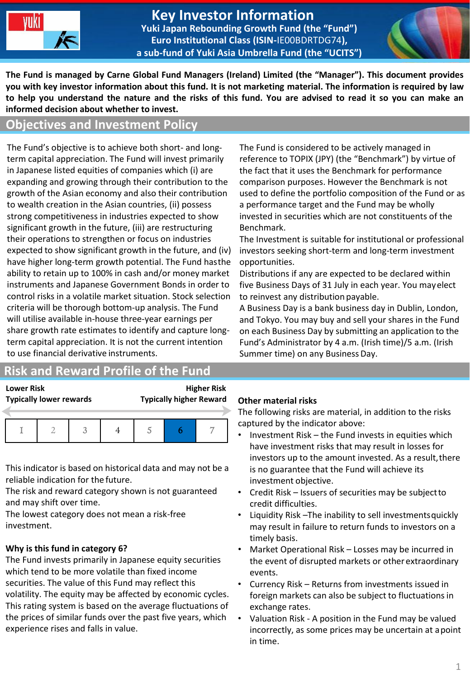

#### **Key Investor Information Yuki Japan Rebounding Growth Fund (the "Fund") Euro Institutional Class (ISIN-**IE00BDRTDG74**), a sub-fund of Yuki Asia Umbrella Fund (the "UCITS")**



**The Fund is managed by Carne Global Fund Managers (Ireland) Limited (the "Manager"). This document provides you with key investor information about this fund. It is not marketing material. The information is required by law to help you understand the nature and the risks of this fund. You are advised to read it so you can make an informed decision about whether to invest.**

# **Objectives and Investment Policy**

The Fund's objective is to achieve both short- and longterm capital appreciation. The Fund will invest primarily in Japanese listed equities of companies which (i) are expanding and growing through their contribution to the growth of the Asian economy and also their contribution to wealth creation in the Asian countries, (ii) possess strong competitiveness in industries expected to show significant growth in the future, (iii) are restructuring their operations to strengthen or focus on industries expected to show significant growth in the future, and (iv) have higher long-term growth potential. The Fund hasthe ability to retain up to 100% in cash and/or money market instruments and Japanese Government Bonds in order to control risks in a volatile market situation. Stock selection criteria will be thorough bottom-up analysis. The Fund will utilise available in-house three-year earnings per share growth rate estimates to identify and capture longterm capital appreciation. It is not the current intention to use financial derivative instruments.

# **Risk and Reward Profile of the Fund**

**Lower Risk Higher Risk Typically lower rewards Typically higher Reward**

This indicator is based on historical data and may not be a reliable indication for the future.

The risk and reward category shown is not guaranteed and may shift over time.

The lowest category does not mean a risk-free investment.

#### **Why is this fund in category 6?**

The Fund invests primarily in Japanese equity securities which tend to be more volatile than fixed income securities. The value of this Fund may reflect this volatility. The equity may be affected by economic cycles. This rating system is based on the average fluctuations of the prices of similar funds over the past five years, which experience rises and falls in value.

The Fund is considered to be actively managed in reference to TOPIX (JPY) (the "Benchmark") by virtue of the fact that it uses the Benchmark for performance comparison purposes. However the Benchmark is not used to define the portfolio composition of the Fund or as a performance target and the Fund may be wholly invested in securities which are not constituents of the Benchmark.

The Investment is suitable for institutional or professional investors seeking short-term and long-term investment opportunities.

Distributions if any are expected to be declared within five Business Days of 31 July in each year. You mayelect to reinvest any distribution payable.

A Business Day is a bank business day in Dublin, London, and Tokyo. You may buy and sell your shares in the Fund on each Business Day by submitting an application to the Fund's Administrator by 4 a.m. (Irish time)/5 a.m. (Irish Summer time) on any BusinessDay.

#### **Other material risks**

The following risks are material, in addition to the risks captured by the indicator above:

- Investment Risk the Fund invests in equities which have investment risks that may result in losses for investors up to the amount invested. As a result, there is no guarantee that the Fund will achieve its investment objective.
- Credit Risk Issuers of securities may be subjectto credit difficulties.
- Liquidity Risk –The inability to sell investmentsquickly may result in failure to return funds to investors on a timely basis.
- Market Operational Risk Losses may be incurred in the event of disrupted markets or other extraordinary events.
- Currency Risk Returns from investments issued in foreign markets can also be subject to fluctuations in exchange rates.
- Valuation Risk A position in the Fund may be valued incorrectly, as some prices may be uncertain at apoint in time.